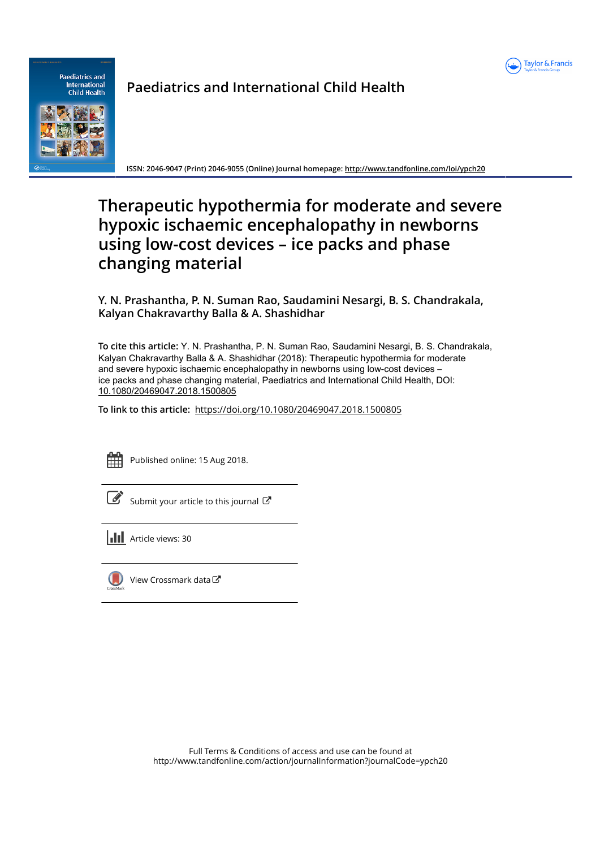



# **Paediatrics and International Child Health**

ISSN: 2046-9047 (Print) 2046-9055 (Online) Journal homepage: http://www.tandfonline.com/loi/ypch20

# Therapeutic hypothermia for moderate and severe hypoxic ischaemic encephalopathy in newborns using low-cost devices - ice packs and phase changing material

Y. N. Prashantha, P. N. Suman Rao, Saudamini Nesargi, B. S. Chandrakala, Kalyan Chakravarthy Balla & A. Shashidhar

To cite this article: Y. N. Prashantha, P. N. Suman Rao, Saudamini Nesargi, B. S. Chandrakala, Kalyan Chakravarthy Balla & A. Shashidhar (2018): Therapeutic hypothermia for moderate and severe hypoxic ischaemic encephalopathy in newborns using low-cost devices ice packs and phase changing material, Paediatrics and International Child Health, DOI: 10.1080/20469047.2018.1500805

To link to this article: https://doi.org/10.1080/20469047.2018.1500805

Published online: 15 Aug 2018.

Submit your article to this journal

**II** Article views: 30



( $\Box$ ) View Crossmark data  $\Box$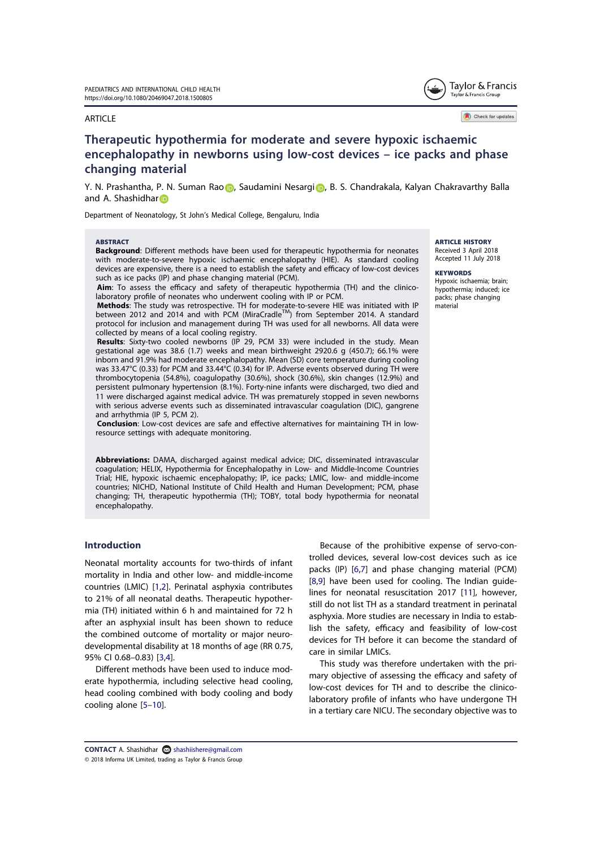#### **ARTICLE**



## Therapeutic hypothermia for moderate and severe hypoxic ischaemic encephalopathy in newborns using low-cost devices – ice packs and phase changing material

Y. N. Prashantha, P. N. Suman Rao , Saudamini Nesargi , B. S. Chandrakala, Kalyan Chakravarthy Balla and A. Shashidhar

Department of Neonatology, St John's Medical College, Bengaluru, India

#### **ARSTRACT**

Background: Different methods have been used for therapeutic hypothermia for neonates with moderate-to-severe hypoxic ischaemic encephalopathy (HIE). As standard cooling devices are expensive, there is a need to establish the safety and efficacy of low-cost devices such as ice packs (IP) and phase changing material (PCM).

Aim: To assess the efficacy and safety of therapeutic hypothermia (TH) and the clinicolaboratory profile of neonates who underwent cooling with IP or PCM.

Methods: The study was retrospective. TH for moderate-to-severe HIE was initiated with IP<br>between 2012 and 2014 and with PCM (MiraCradle™) from September 2014. A standard protocol for inclusion and management during TH was used for all newborns. All data were collected by means of a local cooling registry.

Results: Sixty-two cooled newborns (IP 29, PCM 33) were included in the study. Mean gestational age was 38.6 (1.7) weeks and mean birthweight 2920.6 g (450.7); 66.1% were inborn and 91.9% had moderate encephalopathy. Mean (SD) core temperature during cooling was 33.47°C (0.33) for PCM and 33.44°C (0.34) for IP. Adverse events observed during TH were thrombocytopenia (54.8%), coagulopathy (30.6%), shock (30.6%), skin changes (12.9%) and persistent pulmonary hypertension (8.1%). Forty-nine infants were discharged, two died and 11 were discharged against medical advice. TH was prematurely stopped in seven newborns with serious adverse events such as disseminated intravascular coagulation (DIC), gangrene and arrhythmia (IP 5, PCM 2).

Conclusion: Low-cost devices are safe and effective alternatives for maintaining TH in lowresource settings with adequate monitoring.

Abbreviations: DAMA, discharged against medical advice; DIC, disseminated intravascular coagulation; HELIX, Hypothermia for Encephalopathy in Low- and Middle-Income Countries Trial; HIE, hypoxic ischaemic encephalopathy; IP, ice packs; LMIC, low- and middle-income countries; NICHD, National Institute of Child Health and Human Development; PCM, phase changing; TH, therapeutic hypothermia (TH); TOBY, total body hypothermia for neonatal encephalopathy.

### Introduction

Neonatal mortality accounts for two-thirds of infant mortality in India and other low- and middle-income countries (LMIC) [1,2]. Perinatal asphyxia contributes to 21% of all neonatal deaths. Therapeutic hypothermia (TH) initiated within 6 h and maintained for 72 h after an asphyxial insult has been shown to reduce the combined outcome of mortality or major neurodevelopmental disability at 18 months of age (RR 0.75, 95% CI 0.68–0.83) [3,4].

Different methods have been used to induce moderate hypothermia, including selective head cooling, head cooling combined with body cooling and body cooling alone [5–10].

Because of the prohibitive expense of servo-controlled devices, several low-cost devices such as ice packs (IP) [6,7] and phase changing material (PCM) [8,9] have been used for cooling. The Indian guidelines for neonatal resuscitation 2017 [11], however, still do not list TH as a standard treatment in perinatal asphyxia. More studies are necessary in India to establish the safety, efficacy and feasibility of low-cost devices for TH before it can become the standard of care in similar LMICs.

This study was therefore undertaken with the primary objective of assessing the efficacy and safety of low-cost devices for TH and to describe the clinicolaboratory profile of infants who have undergone TH in a tertiary care NICU. The secondary objective was to

CONTACT A. Shashidhar <sup>Shashiishere@gmail.com</sup> © 2018 Informa UK Limited, trading as Taylor & Francis Group **ARTICLE HISTORY** Received 3 April 2018 Accepted 11 July 2018

**KEYWORDS** 

Hypoxic ischaemia; brain; hypothermia; induced; ice packs; phase changing material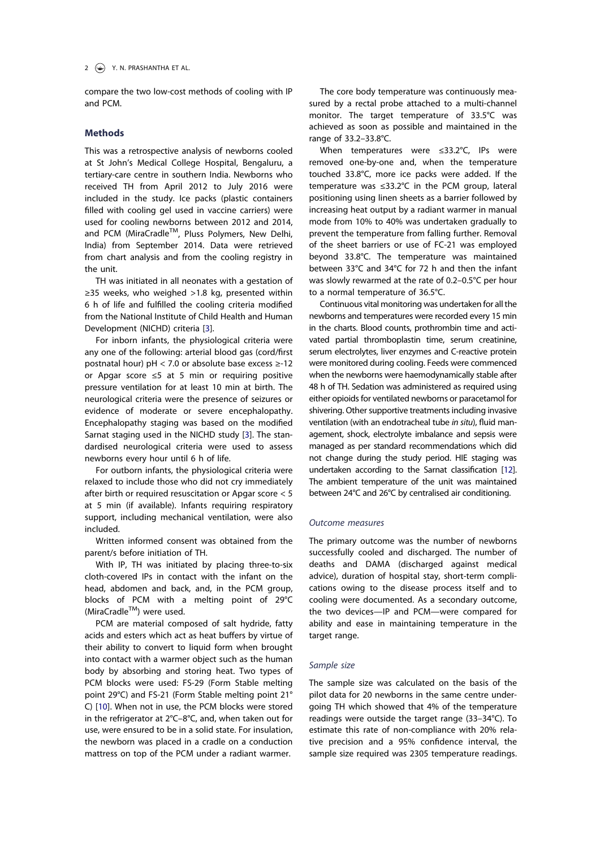compare the two low-cost methods of cooling with IP and PCM.

### Methods

This was a retrospective analysis of newborns cooled at St John's Medical College Hospital, Bengaluru, a tertiary-care centre in southern India. Newborns who received TH from April 2012 to July 2016 were included in the study. Ice packs (plastic containers filled with cooling gel used in vaccine carriers) were used for cooling newborns between 2012 and 2014, and PCM (MiraCradle™, Pluss Polymers, New Delhi, India) from September 2014. Data were retrieved from chart analysis and from the cooling registry in the unit.

TH was initiated in all neonates with a gestation of ≥35 weeks, who weighed >1.8 kg, presented within 6 h of life and fulfilled the cooling criteria modified from the National Institute of Child Health and Human Development (NICHD) criteria [3].

For inborn infants, the physiological criteria were any one of the following: arterial blood gas (cord/first postnatal hour) pH < 7.0 or absolute base excess  $\ge$ -12 or Apgar score ≤5 at 5 min or requiring positive pressure ventilation for at least 10 min at birth. The neurological criteria were the presence of seizures or evidence of moderate or severe encephalopathy. Encephalopathy staging was based on the modified Sarnat staging used in the NICHD study [3]. The standardised neurological criteria were used to assess newborns every hour until 6 h of life.

For outborn infants, the physiological criteria were relaxed to include those who did not cry immediately after birth or required resuscitation or Apgar score < 5 at 5 min (if available). Infants requiring respiratory support, including mechanical ventilation, were also included.

Written informed consent was obtained from the parent/s before initiation of TH.

With IP, TH was initiated by placing three-to-six cloth-covered IPs in contact with the infant on the head, abdomen and back, and, in the PCM group, blocks of PCM with a melting point of 29°C (MiraCradle™) were used.

PCM are material composed of salt hydride, fatty acids and esters which act as heat buffers by virtue of their ability to convert to liquid form when brought into contact with a warmer object such as the human body by absorbing and storing heat. Two types of PCM blocks were used: FS-29 (Form Stable melting point 29°C) and FS-21 (Form Stable melting point 21° C) [10]. When not in use, the PCM blocks were stored in the refrigerator at 2°C–8°C, and, when taken out for use, were ensured to be in a solid state. For insulation, the newborn was placed in a cradle on a conduction mattress on top of the PCM under a radiant warmer.

The core body temperature was continuously measured by a rectal probe attached to a multi-channel monitor. The target temperature of 33.5°C was achieved as soon as possible and maintained in the range of 33.2–33.8°C.

When temperatures were ≤33.2°C, IPs were removed one-by-one and, when the temperature touched 33.8°C, more ice packs were added. If the temperature was ≤33.2°C in the PCM group, lateral positioning using linen sheets as a barrier followed by increasing heat output by a radiant warmer in manual mode from 10% to 40% was undertaken gradually to prevent the temperature from falling further. Removal of the sheet barriers or use of FC-21 was employed beyond 33.8°C. The temperature was maintained between 33°C and 34°C for 72 h and then the infant was slowly rewarmed at the rate of 0.2–0.5°C per hour to a normal temperature of 36.5°C.

Continuous vital monitoring was undertaken for all the newborns and temperatures were recorded every 15 min in the charts. Blood counts, prothrombin time and activated partial thromboplastin time, serum creatinine, serum electrolytes, liver enzymes and C-reactive protein were monitored during cooling. Feeds were commenced when the newborns were haemodynamically stable after 48 h of TH. Sedation was administered as required using either opioids for ventilated newborns or paracetamol for shivering. Other supportive treatments including invasive ventilation (with an endotracheal tube in situ), fluid management, shock, electrolyte imbalance and sepsis were managed as per standard recommendations which did not change during the study period. HIE staging was undertaken according to the Sarnat classification [12]. The ambient temperature of the unit was maintained between 24°C and 26°C by centralised air conditioning.

### Outcome measures

The primary outcome was the number of newborns successfully cooled and discharged. The number of deaths and DAMA (discharged against medical advice), duration of hospital stay, short-term complications owing to the disease process itself and to cooling were documented. As a secondary outcome, the two devices—IP and PCM—were compared for ability and ease in maintaining temperature in the target range.

#### Sample size

The sample size was calculated on the basis of the pilot data for 20 newborns in the same centre undergoing TH which showed that 4% of the temperature readings were outside the target range (33–34°C). To estimate this rate of non-compliance with 20% relative precision and a 95% confidence interval, the sample size required was 2305 temperature readings.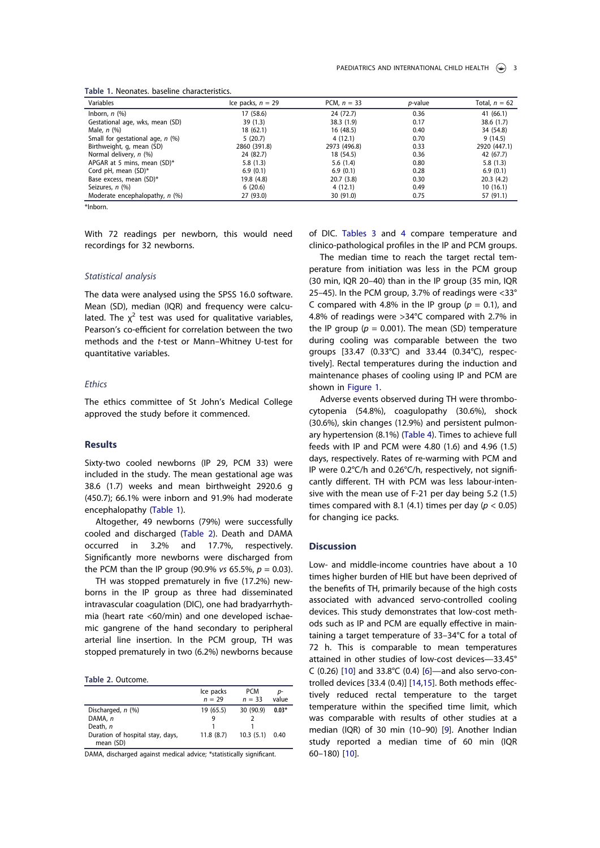| Variables                          | Ice packs, $n = 29$ | PCM, $n = 33$ | <i>p</i> -value | Total, $n = 62$ |
|------------------------------------|---------------------|---------------|-----------------|-----------------|
| Inborn, $n$ $(\%)$                 | 17 (58.6)           | 24 (72.7)     | 0.36            | 41(66.1)        |
| Gestational age, wks, mean (SD)    | 39(1.3)             | 38.3(1.9)     | 0.17            | 38.6(1.7)       |
| Male, $n$ $(\%)$                   | 18 (62.1)           | 16(48.5)      | 0.40            | 34 (54.8)       |
| Small for gestational age, $n$ (%) | 5(20.7)             | 4(12.1)       | 0.70            | 9(14.5)         |
| Birthweight, g, mean (SD)          | 2860 (391.8)        | 2973 (496.8)  | 0.33            | 2920 (447.1)    |
| Normal delivery, n (%)             | 24 (82.7)           | 18 (54.5)     | 0.36            | 42 (67.7)       |
| APGAR at 5 mins, mean (SD)*        | 5.8(1.3)            | 5.6(1.4)      | 0.80            | 5.8(1.3)        |
| Cord pH, mean (SD)*                | 6.9(0.1)            | 6.9(0.1)      | 0.28            | 6.9(0.1)        |
| Base excess, mean (SD)*            | 19.8 (4.8)          | 20.7(3.8)     | 0.30            | 20.3(4.2)       |
| Seizures, n (%)                    | 6(20.6)             | 4(12.1)       | 0.49            | 10(16.1)        |
| Moderate encephalopathy, $n$ (%)   | 27 (93.0)           | 30 (91.0)     | 0.75            | 57 (91.1)       |

Table 1. Neonates. baseline characteristics.

\*Inborn.

With 72 readings per newborn, this would need recordings for 32 newborns.

#### Statistical analysis

The data were analysed using the SPSS 16.0 software. Mean (SD), median (IQR) and frequency were calculated. The  $\chi^2$  test was used for qualitative variables, Pearson's co-efficient for correlation between the two methods and the t-test or Mann–Whitney U-test for quantitative variables.

#### **Ethics**

The ethics committee of St John's Medical College approved the study before it commenced.

#### Results

Sixty-two cooled newborns (IP 29, PCM 33) were included in the study. The mean gestational age was 38.6 (1.7) weeks and mean birthweight 2920.6 g (450.7); 66.1% were inborn and 91.9% had moderate encephalopathy (Table 1).

Altogether, 49 newborns (79%) were successfully cooled and discharged (Table 2). Death and DAMA occurred in 3.2% and 17.7%, respectively. Significantly more newborns were discharged from the PCM than the IP group (90.9% vs 65.5%,  $p = 0.03$ ).

TH was stopped prematurely in five (17.2%) newborns in the IP group as three had disseminated intravascular coagulation (DIC), one had bradyarrhythmia (heart rate <60/min) and one developed ischaemic gangrene of the hand secondary to peripheral arterial line insertion. In the PCM group, TH was stopped prematurely in two (6.2%) newborns because

Table 2. Outcome.

|                                               | Ice packs<br>$n = 29$ | <b>PCM</b><br>$n = 33$ | value   |
|-----------------------------------------------|-----------------------|------------------------|---------|
| Discharged, n (%)                             | 19 (65.5)             | 30 (90.9)              | $0.03*$ |
| DAMA, n                                       |                       |                        |         |
| Death, n                                      |                       |                        |         |
| Duration of hospital stay, days,<br>mean (SD) | 11.8(8.7)             | 10.3(5.1)              | 0.40    |

DAMA, discharged against medical advice; \*statistically significant.

of DIC. Tables 3 and 4 compare temperature and clinico-pathological profiles in the IP and PCM groups.

The median time to reach the target rectal temperature from initiation was less in the PCM group (30 min, IQR 20–40) than in the IP group (35 min, IQR 25–45). In the PCM group, 3.7% of readings were <33° C compared with 4.8% in the IP group ( $p = 0.1$ ), and 4.8% of readings were >34°C compared with 2.7% in the IP group ( $p = 0.001$ ). The mean (SD) temperature during cooling was comparable between the two groups [33.47 (0.33°C) and 33.44 (0.34°C), respectively]. Rectal temperatures during the induction and maintenance phases of cooling using IP and PCM are shown in Figure 1.

Adverse events observed during TH were thrombocytopenia (54.8%), coagulopathy (30.6%), shock (30.6%), skin changes (12.9%) and persistent pulmonary hypertension (8.1%) (Table 4). Times to achieve full feeds with IP and PCM were 4.80 (1.6) and 4.96 (1.5) days, respectively. Rates of re-warming with PCM and IP were 0.2°C/h and 0.26°C/h, respectively, not significantly different. TH with PCM was less labour-intensive with the mean use of F-21 per day being 5.2 (1.5) times compared with 8.1 (4.1) times per day ( $p < 0.05$ ) for changing ice packs.

### Discussion

Low- and middle-income countries have about a 10 times higher burden of HIE but have been deprived of the benefits of TH, primarily because of the high costs associated with advanced servo-controlled cooling devices. This study demonstrates that low-cost methods such as IP and PCM are equally effective in maintaining a target temperature of 33–34°C for a total of 72 h. This is comparable to mean temperatures attained in other studies of low-cost devices—33.45° C (0.26) [10] and 33.8°C (0.4) [6]—and also servo-controlled devices [33.4 (0.4)] [14,15]. Both methods effectively reduced rectal temperature to the target temperature within the specified time limit, which was comparable with results of other studies at a median (IQR) of 30 min (10–90) [9]. Another Indian study reported a median time of 60 min (IQR 60–180) [10].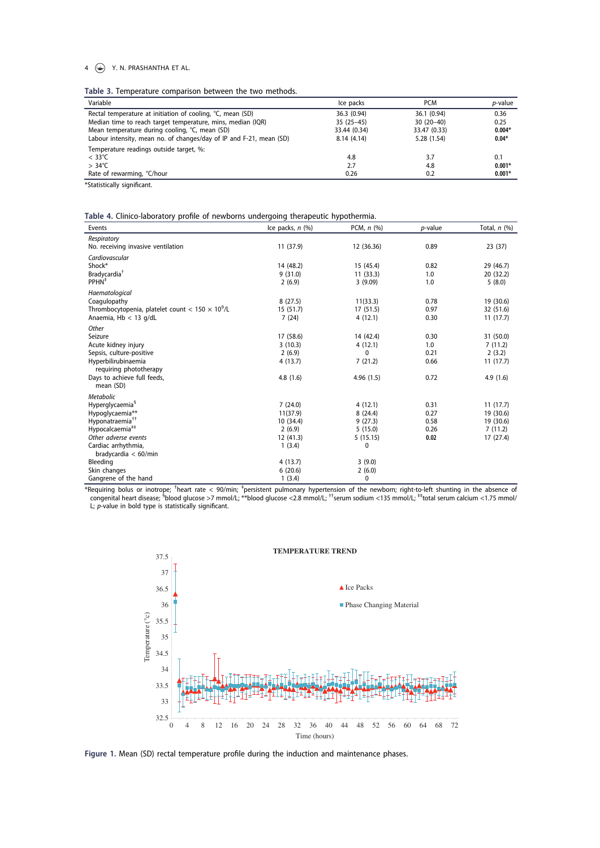#### $4 \quad \circledast$  Y. N. PRASHANTHA ET AL.

Table 3. Temperature comparison between the two methods.

| Variable                                                            | Ice packs    | <b>PCM</b>   | <i>p</i> -value |
|---------------------------------------------------------------------|--------------|--------------|-----------------|
| Rectal temperature at initiation of cooling, °C, mean (SD)          | 36.3 (0.94)  | 36.1 (0.94)  | 0.36            |
| Median time to reach target temperature, mins, median (IQR)         | $35(25-45)$  | $30(20-40)$  | 0.25            |
| Mean temperature during cooling, °C, mean (SD)                      | 33.44 (0.34) | 33.47 (0.33) | $0.004*$        |
| Labour intensity, mean no. of changes/day of IP and F-21, mean (SD) | 8.14(4.14)   | 5.28 (1.54)  | $0.04*$         |
| Temperature readings outside target, %:                             |              |              |                 |
| $< 33^{\circ}$ C                                                    | 4.8          | 3.7          | 0.1             |
| $> 34^{\circ}$ C                                                    | 2.7          | 4.8          | $0.001*$        |
| Rate of rewarming, °C/hour                                          | 0.26         | 0.2          | $0.001*$        |

\*Statistically significant.

Table 4. Clinico-laboratory profile of newborns undergoing therapeutic hypothermia.

| Events                                                  | Ice packs, $n$ $(\%)$ | PCM, $n$ $(\%)$ | $p$ -value | Total, $n$ $(\%)$ |
|---------------------------------------------------------|-----------------------|-----------------|------------|-------------------|
| Respiratory                                             |                       |                 |            |                   |
| No. receiving invasive ventilation                      | 11 (37.9)             | 12 (36.36)      | 0.89       | 23 (37)           |
| Cardiovascular                                          |                       |                 |            |                   |
| Shock*                                                  | 14 (48.2)             | 15 (45.4)       | 0.82       | 29 (46.7)         |
| Bradycardia <sup>†</sup>                                | 9(31.0)               | 11(33.3)        | 1.0        | 20 (32.2)         |
| PPHN <sup>+</sup>                                       | 2(6.9)                | 3(9.09)         | 1.0        | 5(8.0)            |
| Haematological                                          |                       |                 |            |                   |
| Coagulopathy                                            | 8(27.5)               | 11(33.3)        | 0.78       | 19 (30.6)         |
| Thrombocytopenia, platelet count < $150 \times 10^9$ /L | 15(51.7)              | 17 (51.5)       | 0.97       | 32 (51.6)         |
| Anaemia, Hb < 13 g/dL                                   | 7(24)                 | 4(12.1)         | 0.30       | 11(17.7)          |
| Other                                                   |                       |                 |            |                   |
| Seizure                                                 | 17 (58.6)             | 14 (42.4)       | 0.30       | 31 (50.0)         |
| Acute kidney injury                                     | 3(10.3)               | 4(12.1)         | 1.0        | 7(11.2)           |
| Sepsis, culture-positive                                | 2(6.9)                | 0               | 0.21       | 2(3.2)            |
| Hyperbilirubinaemia                                     | 4(13.7)               | 7(21.2)         | 0.66       | 11(17.7)          |
| requiring phototherapy                                  |                       |                 |            |                   |
| Days to achieve full feeds,                             | 4.8(1.6)              | 4.96(1.5)       | 0.72       | 4.9(1.6)          |
| mean (SD)                                               |                       |                 |            |                   |
| <b>Metabolic</b>                                        |                       |                 |            |                   |
| Hyperglycaemia <sup>§</sup>                             | 7(24.0)               | 4(12.1)         | 0.31       | 11(17.7)          |
| Hypoglycaemia**                                         | 11(37.9)              | 8(24.4)         | 0.27       | 19 (30.6)         |
| Hyponatraemia <sup>††</sup>                             | 10 (34.4)             | 9(27.3)         | 0.58       | 19 (30.6)         |
| Hypocalcaemia <sup>##</sup>                             | 2(6.9)                | 5(15.0)         | 0.26       | 7(11.2)           |
| Other adverse events                                    | 12 (41.3)             | 5(15.15)        | 0.02       | 17 (27.4)         |
| Cardiac arrhythmia,                                     | 1(3.4)                | 0               |            |                   |
| bradycardia $<$ 60/min                                  |                       |                 |            |                   |
| Bleeding                                                | 4(13.7)               | 3(9.0)          |            |                   |
| Skin changes                                            | 6(20.6)               | 2(6.0)          |            |                   |
| Gangrene of the hand                                    | 1(3.4)                | 0               |            |                   |

\*Requiring bolus or inotrope; <sup>†</sup>heart rate < 90/min; <sup>‡</sup>persistent pulmonary hypertension of the newborn; right-to-left shunting in the absence of \*<br>| congenital heart disease; <sup>\$</sup>blood glucose >7 mmol/L; \*\*blood glucose L;  $p$ -value in bold type is statistically significant.



Figure 1. Mean (SD) rectal temperature profile during the induction and maintenance phases.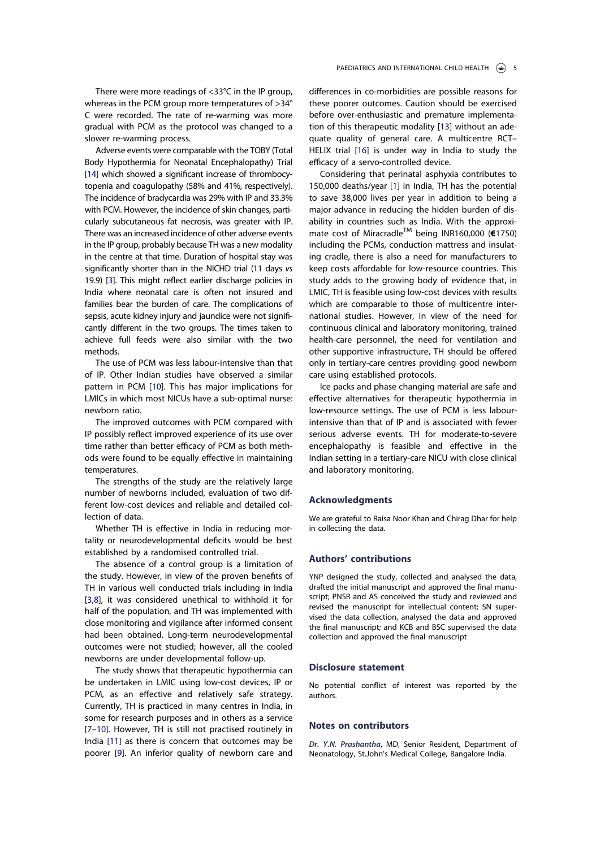There were more readings of <33°C in the IP group, whereas in the PCM group more temperatures of >34° C were recorded. The rate of re-warming was more gradual with PCM as the protocol was changed to a slower re-warming process.

Adverse events were comparable with the TOBY (Total Body Hypothermia for Neonatal Encephalopathy) Trial [14] which showed a significant increase of thrombocytopenia and coagulopathy (58% and 41%, respectively). The incidence of bradycardia was 29% with IP and 33.3% with PCM. However, the incidence of skin changes, particularly subcutaneous fat necrosis, was greater with IP. There was an increased incidence of other adverse events in the IP group, probably because TH was a new modality in the centre at that time. Duration of hospital stay was significantly shorter than in the NICHD trial (11 days vs 19.9) [3]. This might reflect earlier discharge policies in India where neonatal care is often not insured and families bear the burden of care. The complications of sepsis, acute kidney injury and jaundice were not significantly different in the two groups. The times taken to achieve full feeds were also similar with the two methods.

The use of PCM was less labour-intensive than that of IP. Other Indian studies have observed a similar pattern in PCM [10]. This has major implications for LMICs in which most NICUs have a sub-optimal nurse: newborn ratio.

The improved outcomes with PCM compared with IP possibly reflect improved experience of its use over time rather than better efficacy of PCM as both methods were found to be equally effective in maintaining temperatures.

The strengths of the study are the relatively large number of newborns included, evaluation of two different low-cost devices and reliable and detailed collection of data.

Whether TH is effective in India in reducing mortality or neurodevelopmental deficits would be best established by a randomised controlled trial.

The absence of a control group is a limitation of the study. However, in view of the proven benefits of TH in various well conducted trials including in India [3,8], it was considered unethical to withhold it for half of the population, and TH was implemented with close monitoring and vigilance after informed consent had been obtained. Long-term neurodevelopmental outcomes were not studied; however, all the cooled newborns are under developmental follow-up.

The study shows that therapeutic hypothermia can be undertaken in LMIC using low-cost devices, IP or PCM, as an effective and relatively safe strategy. Currently, TH is practiced in many centres in India, in some for research purposes and in others as a service [7–10]. However, TH is still not practised routinely in India [11] as there is concern that outcomes may be poorer [9]. An inferior quality of newborn care and differences in co-morbidities are possible reasons for these poorer outcomes. Caution should be exercised before over-enthusiastic and premature implementation of this therapeutic modality [13] without an adequate quality of general care. A multicentre RCT– HELIX trial [16] is under way in India to study the efficacy of a servo-controlled device.

Considering that perinatal asphyxia contributes to 150,000 deaths/year [1] in India, TH has the potential to save 38,000 lives per year in addition to being a major advance in reducing the hidden burden of disability in countries such as India. With the approximate cost of Miracradle™ being INR160,000 (€1750) including the PCMs, conduction mattress and insulating cradle, there is also a need for manufacturers to keep costs affordable for low-resource countries. This study adds to the growing body of evidence that, in LMIC, TH is feasible using low-cost devices with results which are comparable to those of multicentre international studies. However, in view of the need for continuous clinical and laboratory monitoring, trained health-care personnel, the need for ventilation and other supportive infrastructure, TH should be offered only in tertiary-care centres providing good newborn care using established protocols.

Ice packs and phase changing material are safe and effective alternatives for therapeutic hypothermia in low-resource settings. The use of PCM is less labourintensive than that of IP and is associated with fewer serious adverse events. TH for moderate-to-severe encephalopathy is feasible and effective in the Indian setting in a tertiary-care NICU with close clinical and laboratory monitoring.

#### Acknowledgments

We are grateful to Raisa Noor Khan and Chirag Dhar for help in collecting the data.

#### Authors' contributions

YNP designed the study, collected and analysed the data, drafted the initial manuscript and approved the final manuscript; PNSR and AS conceived the study and reviewed and revised the manuscript for intellectual content; SN supervised the data collection, analysed the data and approved the final manuscript; and KCB and BSC supervised the data collection and approved the final manuscript

#### Disclosure statement

No potential conflict of interest was reported by the authors.

#### Notes on contributors

Dr. Y.N. Prashantha, MD, Senior Resident, Department of Neonatology, St.John's Medical College, Bangalore India.